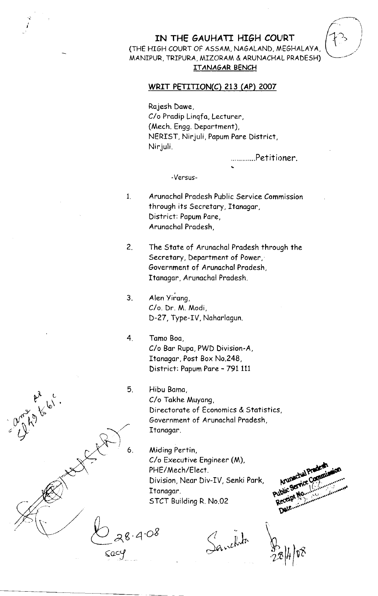## IN THE GAUHATI HIGH COURT (THE HIGH COURT OF ASSAM, NAGALAND, MEGHALAYA, MANIPUR, TRIPURA, MIZORAM & ARUNACHAL PRADESH) ITANAGAR BENCH

## WRIT PETITION(C) 213 (AP) 2007

Rajesh Dawe, C/o Pradip Lingfa, Lecturer, (Mech. Engg. Department), NERIST, Nirjuli, Papum Pare District, Ninjuli.

.............Petitioner.

## -Versus-

- Arunachal Pradesh Public Service Commission  $1<sub>1</sub>$ through its Secretary, Itanagar, District: Papum Pare, Arunachal Pradesh,
- $2.$ The State of Arunachal Pradesh through the Secretary, Department of Power, Government of Arunachal Pradesh, Itanagar, Arunachal Pradesh.
- Alen Yirang,  $3<sub>1</sub>$ C/o. Dr. M. Modi, D-27, Type-IV, Naharlagun.
- $4<sub>1</sub>$ Tamo Boa C/o Bar Rupa, PWD Division-A, Itanagar, Post Box No.248, District: Papum Pare - 791 111
	- Hibu Bama, C/o Takhe Muyang, Directorate of Economics & Statistics, Government of Arunachal Pradesh, Itanagar.
		- Miding Pertin, C/o Executive Engineer (M), PHE/Mech/Elect. Division, Near Div-IV, Senki Park, Itanagar. STCT Building R. No.02

Animachal Praded Public Service Communi Receipt! Date.....

Sanchita

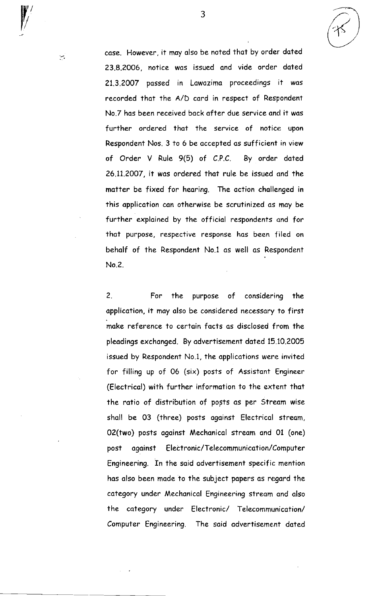case. However, it may also be noted that by order dated 23.8.2006, notice wos issued ond vide order doted 21.3.2007 possed in Lowozimo proceedings it wos recorded thot the a/D cord in respect of Respondent No.7 has been received back after due service and it was further ordered that the service of notice upon Respondent Nos. 3 to 6 be accepted os sufficient in view of Order V Rule 9(5) of C.P.C. By order doted 26.11.2007, it wos ordered thot rule be issued ond the motter be fixed for heoring. The oction chollenged in this application can otherwise be scrutinized as may be further explained by the official respondents and for that purpose, respective response has been filed on beholf of the Respondent No.l os well os Respondent No.2.

3

2. For the purpose of considering the application, it may also be considered necessary to first moke reference to certoin focts os disclosed from the pleodings exchonged. By odvertisement doted 15 10.2005 issued by Respondent No.1, the opplicotions were invited for filling up of 06 (six) posts of Assistont Engineer (Electricol) with further informotion to the extent thot the ratio of distribution of posts as per Stream wise shall be 03 (three) posts against Electrical stream, 02(two) posts ogoinst Mechonicol streom ond 01 (one) post against Electronic/Telecommunication/Computer Engineering. In the said advertisement specific mention hos olso been made to the subject popers os regord the category under Mechanical Engineering stream and also the category under Electronic/ Telecommunication/ Computer Engineering. The said advertisement dated

نبية

Y,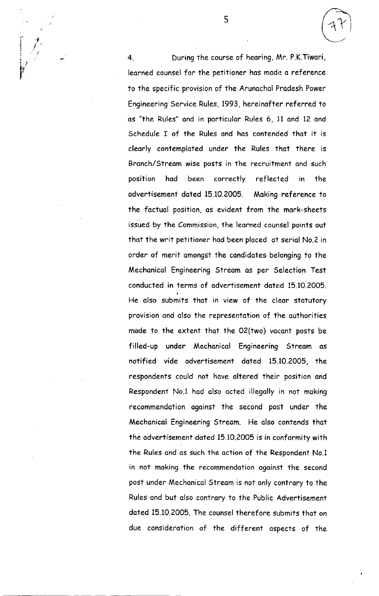4. During the course of heoring, lAr. P.K.Tiwori, leorned counsel for the petitioner has mode a reference to the specific provision of the Arunachal Pradesh Power Engineering Service Rules, 1993, hereinofter referred to os "fhe Rules" ond in porticulor Rules 6, 11 ond 12 ond Schedule I of the Rules and has contended that it is clearly contemploted under the Rules thot there is Branch/Stream wise posts in the recruitment and such position had been correctly reflected in the advertisement dated 15.10.2005. Making reference to the foctuol position, os evident from the mork-sheets issued by the Commission, the leorned counsel points out that the writ petitioner had been placed at serial No.2 in order of merit omongst the condidotes belonging to the Mechonicol Engineering Streom os per Selection Test conducted in terms of advertisement dated 15,10,2005. He olso submits that in view of the cleor stotutory provision and also the representation of the authorities made to the extent that the 02(two) vacant posts be filled-up under Mechanical Engineering Stream as notified vide advertisement doted 15.10.2005, the respondents could not have altered their position and Respondent No.1 had also acted illegally in not making recommendotion ogoinsf the second post under the Mechanical Engineering Stream. He also contends that the odverfisement doted 15 10.2005 is in conformity with the Rules and as such the action of the Respondent No.1 in not making the recommendation against the second post under Mechanical Stream is not only contrary to the Rules and but also contrary to the Public Advertisement doted 15.10.2005. The counsel therefore submits thot on due considerotion of the different ospects of the

 $\left(\begin{matrix} \mathcal{F} \ \mathcal{F} \end{matrix}\right)$ 

 $\int_{0}^{t}$ I i

 $\vert \vert_t$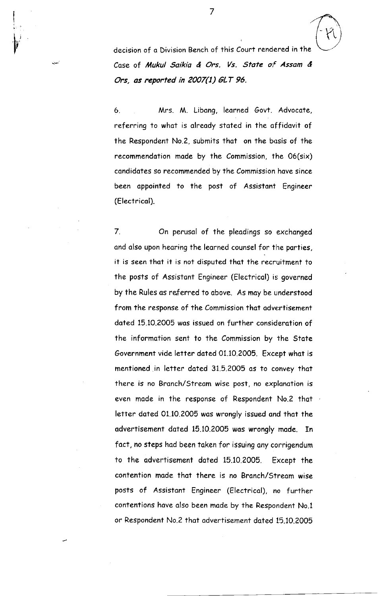decision of a Division Bench of this Court rendered in the Case of Mukul Saikia & Ors. Vs. State of Assam & Ors, as reported in 2007(1) GLT 96.

6. Mrs. M. Libang, learned Govt. Advocate, referring to what is already stated in the affidavit of the Respondent No.Z, submits thot on the bosis of the recommendotion mode by fhe Commission, the 06(six) candidates so recommended by the Commission have since been appointed to the post of Assistant Engineer (Electricol).

7. On perusal of the pleadings so exchanged and also upon hearing the learned counsel for the parties, it is seen thot it is not disputed thot the recruitment to the posts of Assistant Engineer (Electrical) is governed by the Rules as referred to above. As may be understood from the response of the Commission that advertisement dated 15.10.2005 was issued on further consideration of the informotion sent to the Commission by the Stote Government vide letter doted 01.10.2005. Except whot is mentioned.in letter doted 31.5.2005 os to convey thot there is no Branch/Stream wise post, no explanation is even mode in the response of Respondent No.2 thot letter dated 01.10.2005 was wrongly issued and that the advertisement dated 15.10.2005 was wrongly made. In fact, no steps had been taken for issuing any corrigendum to the odvertisement doted 15.10.2005. Except the contention mode thot there is no Bronch/Streom wise posts of Assistont Engineer (Electricol), no further contentions have also been made by the Respondent No.1 or Respondent No.2 that advertisement dated 15.10.2005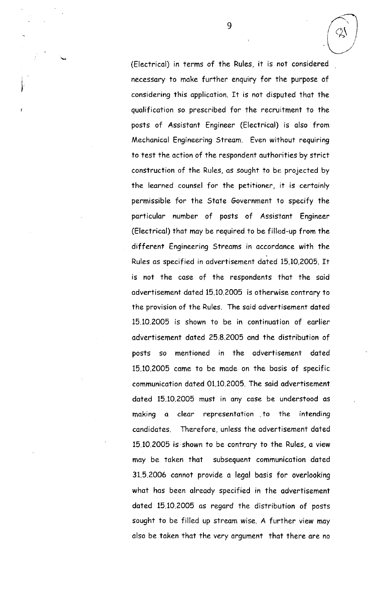(Electricol) in terms of the Rules, it is not considered necessary to make further enquiry for the purpose of considering this opplicotion. ft is not disputed thot the qualification so prescribed for the recruitment to the posts of Assistont Engineer (Electricol) is olso from Mechonicol Engineering Streom. Even without requiring to test the oction of the respondent authorities by strict construction of the Rules, os sought to be projected by the learned counsel for the petitioner, it is certoinly permissible for the Stote Governrnent to specify the porticulon number of posts of Assistont Engineer (Electricol) that moy be required to be filled-up from the different Engineering Streams in accordance with the Rules os specified in odvertisement doted 15.10.2005. It is not the case of the respondents that the said odvertisement dated 15.10.2005 is otherwise controry to the provision of the Rules. The said advertisement dated 15.10.2005 is shown to be in continuotion of eorlier odvertisement doted ?5.8.2005 ond the distribution of posts so mentioned in the odvertisement doted 15.10.2005 come to be mode on the bosis of specific communication dated 01.10.2005. The said advertisement doted 15.10.2005 must in ony cose be understood os making a clear representation to the intending candidates. Therefore, unless the advertisement dated 15.10.2005 is shown to be contrary to the Rules, a view moy be token thot subseguent communicotion doted 31.5.2006 cannot provide a legal basis for overlooking what has been already specified in the advertisement dated 15.10.2005 as regard the distribution of posts sought to be filled up stream wise. A further view may also be taken that the very argument that there are no

9

I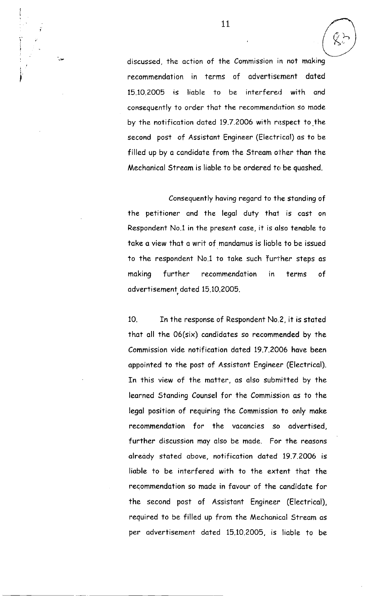discussed, the action of the Commission in not making recommendotion in terms of odvertise:ment doted 15.10.2005 is liable to be interfered with and conseguently to order fhot the recommendotion so mode by the notification dated 19.7.2006 with respect to the second post of Assistont Engineer (Electricol) os to be filled up by a candidate from the Stream other than the Mechanical Stream is liable to be ordered to be quashed.

Consequently having regard to the standing of the petitioner and the legal duty that is cast on Respondent No.1 in the present case, it is also tenable to take a view that a writ of mandamus is liable to be issued to the respondent No.1 to take such further steps as moking further recommendotion in terms of odvertisement doted 15.10.2005.

10. In the response of Respondent No.2, it is stoted thot oll the 06(six) condidotes so recommended by the Commission vide notificotion doted 19.7.2006 hove been appointed to the post of Assistant Engineer (Electrical). In this view of the matter, as also submitted by the learned Standing Counsel for the Commission as to the legal position of requiring the Commission to only make recommendation for the vacancies so advertised, further discussion may also be made. For the reasons already stated above, notification dated 19.7.2006 is liable to be interfered with to the extent that the recommendotion so mode in fovour of the condidote for the second post of Assistont Engineer (Electricol), required to be filled up from the Mechonicol Streom os per advertisement doted 15.10.2005, is lioble to be

I  $\ddot{\phantom{a}}$ 

i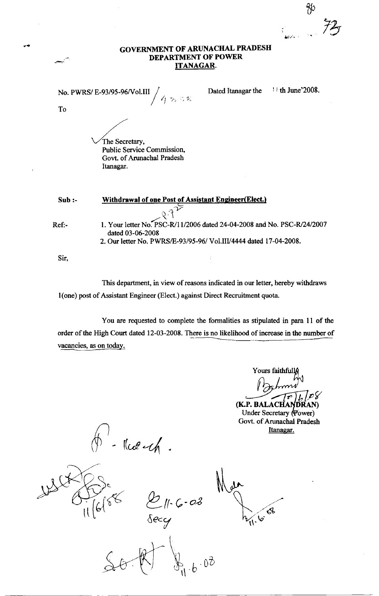tr 72

## GOVERNMENT OF ARUNACHAL PRADESH DEPARTMENT OF POWER ITANAGAR.

|       | No. PWRS/E-93/95-96/Vol.III<br>453                                                                                                                               | Dated Itanagar the | $11$ th June 2008. |
|-------|------------------------------------------------------------------------------------------------------------------------------------------------------------------|--------------------|--------------------|
| To    |                                                                                                                                                                  |                    |                    |
|       | The Secretary,<br>Public Service Commission,<br>Govt. of Arunachal Pradesh<br>Itanagar.                                                                          |                    |                    |
| Sub:  | Withdrawal of one Post of Assistant Engineer(Elect.)                                                                                                             |                    |                    |
| Ref:- | 1. Your letter No. PSC-R/11/2006 dated 24-04-2008 and No. PSC-R/24/2007<br>dated 03-06-2008<br>2. Our letter No. PWRS/E-93/95-96/ Vol.III/4444 dated 17-04-2008. |                    |                    |
| Sir,  |                                                                                                                                                                  |                    |                    |

This department, in view of reasons indicated in our letter, hereby withdraws 1(one) post of Assistant Engineer (Elect.) against Direct Recruitment quota.

You are requested to complete the formalities as stipulated in para 11 of the order of the High Court dated 12-03-2008. There is no likelihood of increase in the number of vacancies, as on toda

Yours faithfull  $\begin{bmatrix} \mathcal{PS} \ \mathcal{R}(\mathbf{AN}) \end{bmatrix}$ (K.P. BALACHA)

Under Secretary (Power) Govt. of Arunachal Pradesh Itanagar.

 $H$ ued  $\mathcal{A}$ .

7 6e.  $\frac{1}{\pi}$  [6  $\frac{1}{\pi}$ q-

 $\gamma_{\rm b}$  $\mathcal{A}$ 

 $\mathfrak{h} \cdot \mathfrak{b}$  $0<sup>3</sup>$ 

l'Q'oB